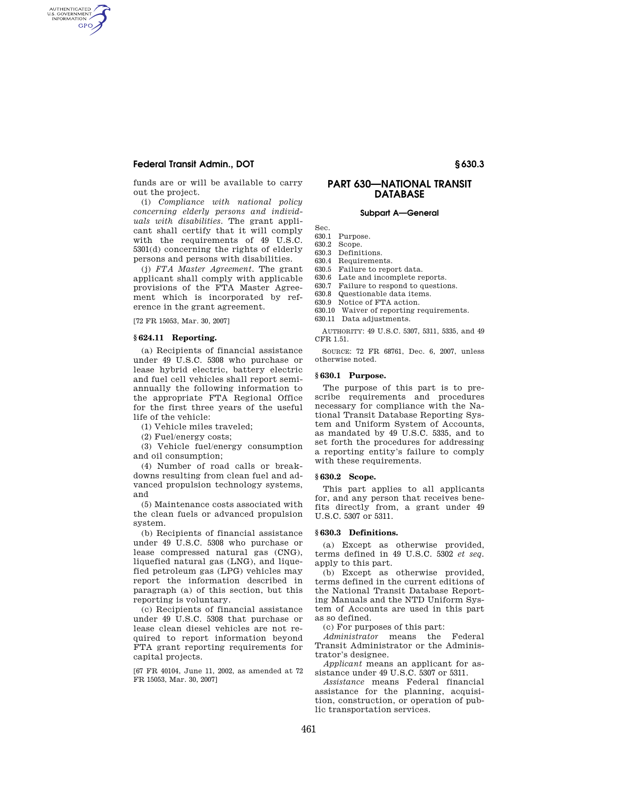# **Federal Transit Admin., DOT § 630.3**

AUTHENTICATED<br>U.S. GOVERNMENT<br>INFORMATION GPO

> funds are or will be available to carry out the project.

> (i) *Compliance with national policy concerning elderly persons and individuals with disabilities.* The grant applicant shall certify that it will comply with the requirements of 49 U.S.C. 5301(d) concerning the rights of elderly persons and persons with disabilities.

> (j) *FTA Master Agreement.* The grant applicant shall comply with applicable provisions of the FTA Master Agreement which is incorporated by reference in the grant agreement.

[72 FR 15053, Mar. 30, 2007]

## **§ 624.11 Reporting.**

(a) Recipients of financial assistance under 49 U.S.C. 5308 who purchase or lease hybrid electric, battery electric and fuel cell vehicles shall report semiannually the following information to the appropriate FTA Regional Office for the first three years of the useful life of the vehicle:

(1) Vehicle miles traveled;

(2) Fuel/energy costs;

(3) Vehicle fuel/energy consumption and oil consumption;

(4) Number of road calls or breakdowns resulting from clean fuel and advanced propulsion technology systems, and

(5) Maintenance costs associated with the clean fuels or advanced propulsion system.

(b) Recipients of financial assistance under 49 U.S.C. 5308 who purchase or lease compressed natural gas (CNG), liquefied natural gas (LNG), and liquefied petroleum gas (LPG) vehicles may report the information described in paragraph (a) of this section, but this reporting is voluntary.

(c) Recipients of financial assistance under 49 U.S.C. 5308 that purchase or lease clean diesel vehicles are not required to report information beyond FTA grant reporting requirements for capital projects.

[67 FR 40104, June 11, 2002, as amended at 72 FR 15053, Mar. 30, 2007]

# **PART 630—NATIONAL TRANSIT DATABASE**

# **Subpart A—General**

Sec.

630.1 Purpose.<br>630.2 Scope. Scope.

630.3 Definitions.

- 630.4 Requirements.
- 630.5 Failure to report data.
- 630.6 Late and incomplete reports.
- 630.7 Failure to respond to questions.
- 630.8 Questionable data items.
- 630.9 Notice of FTA action.
- 630.10 Waiver of reporting requirements.
- 630.11 Data adjustments.

AUTHORITY: 49 U.S.C. 5307, 5311, 5335, and 49 CFR 1.51.

SOURCE: 72 FR 68761, Dec. 6, 2007, unless otherwise noted.

## **§ 630.1 Purpose.**

The purpose of this part is to prescribe requirements and procedures necessary for compliance with the National Transit Database Reporting System and Uniform System of Accounts, as mandated by 49 U.S.C. 5335, and to set forth the procedures for addressing a reporting entity's failure to comply with these requirements.

### **§ 630.2 Scope.**

This part applies to all applicants for, and any person that receives benefits directly from, a grant under 49 U.S.C. 5307 or 5311.

## **§ 630.3 Definitions.**

(a) Except as otherwise provided, terms defined in 49 U.S.C. 5302 *et seq.*  apply to this part.

(b) Except as otherwise provided, terms defined in the current editions of the National Transit Database Reporting Manuals and the NTD Uniform System of Accounts are used in this part as so defined.

(c) For purposes of this part:

*Administrator* means the Federal Transit Administrator or the Administrator's designee.

*Applicant* means an applicant for assistance under 49 U.S.C. 5307 or 5311.

*Assistance* means Federal financial assistance for the planning, acquisition, construction, or operation of public transportation services.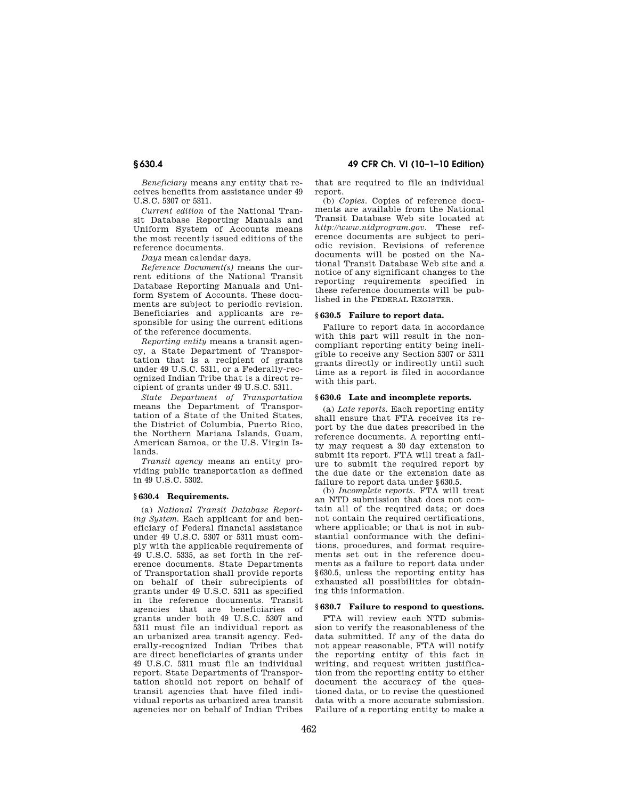**§ 630.4 49 CFR Ch. VI (10–1–10 Edition)** 

*Beneficiary* means any entity that receives benefits from assistance under 49 U.S.C. 5307 or 5311.

*Current edition* of the National Transit Database Reporting Manuals and Uniform System of Accounts means the most recently issued editions of the reference documents.

*Days* mean calendar days.

*Reference Document(s)* means the current editions of the National Transit Database Reporting Manuals and Uniform System of Accounts. These documents are subject to periodic revision. Beneficiaries and applicants are responsible for using the current editions of the reference documents.

*Reporting entity* means a transit agency, a State Department of Transportation that is a recipient of grants under 49 U.S.C. 5311, or a Federally-recognized Indian Tribe that is a direct recipient of grants under 49 U.S.C. 5311.

*State Department of Transportation*  means the Department of Transportation of a State of the United States, the District of Columbia, Puerto Rico, the Northern Mariana Islands, Guam, American Samoa, or the U.S. Virgin Islands.

*Transit agency* means an entity providing public transportation as defined in 49 U.S.C. 5302.

#### **§ 630.4 Requirements.**

(a) *National Transit Database Reporting System.* Each applicant for and beneficiary of Federal financial assistance under 49 U.S.C. 5307 or 5311 must comply with the applicable requirements of 49 U.S.C. 5335, as set forth in the reference documents. State Departments of Transportation shall provide reports on behalf of their subrecipients of grants under 49 U.S.C. 5311 as specified in the reference documents. Transit agencies that are beneficiaries of grants under both 49 U.S.C. 5307 and 5311 must file an individual report as an urbanized area transit agency. Federally-recognized Indian Tribes that are direct beneficiaries of grants under 49 U.S.C. 5311 must file an individual report. State Departments of Transportation should not report on behalf of transit agencies that have filed individual reports as urbanized area transit agencies nor on behalf of Indian Tribes

that are required to file an individual report.

(b) *Copies.* Copies of reference documents are available from the National Transit Database Web site located at *http://www.ntdprogram.gov.* These reference documents are subject to periodic revision. Revisions of reference documents will be posted on the National Transit Database Web site and a notice of any significant changes to the reporting requirements specified in these reference documents will be published in the FEDERAL REGISTER.

#### **§ 630.5 Failure to report data.**

Failure to report data in accordance with this part will result in the noncompliant reporting entity being ineligible to receive any Section 5307 or 5311 grants directly or indirectly until such time as a report is filed in accordance with this part.

### **§ 630.6 Late and incomplete reports.**

(a) *Late reports.* Each reporting entity shall ensure that FTA receives its report by the due dates prescribed in the reference documents. A reporting entity may request a 30 day extension to submit its report. FTA will treat a failure to submit the required report by the due date or the extension date as failure to report data under §630.5.

(b) *Incomplete reports.* FTA will treat an NTD submission that does not contain all of the required data; or does not contain the required certifications, where applicable; or that is not in substantial conformance with the definitions, procedures, and format requirements set out in the reference documents as a failure to report data under §630.5, unless the reporting entity has exhausted all possibilities for obtaining this information.

#### **§ 630.7 Failure to respond to questions.**

FTA will review each NTD submission to verify the reasonableness of the data submitted. If any of the data do not appear reasonable, FTA will notify the reporting entity of this fact in writing, and request written justification from the reporting entity to either document the accuracy of the questioned data, or to revise the questioned data with a more accurate submission. Failure of a reporting entity to make a